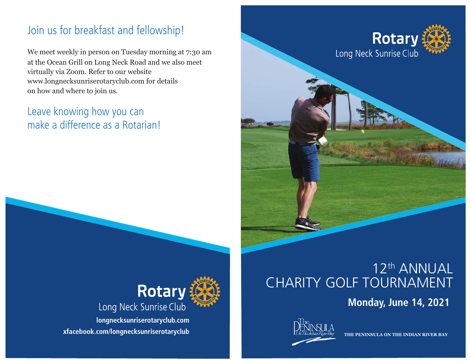## Join us for breakfast and fellowship!

We meet weekly in person on Tuesday morning at 7:30 am at the Ocean Grill on Long Neck Road and we also meet virtually via Zoom. Refer to our website www.longnecksunriserotaryclub.com for details on how and where to join us.

### Leave knowing how you can make a difference as a Rotarian!





**longnecksunriserotaryclub.com xfacebook.com/longnecksunriserotaryclub**

# 12th ANNUAL CHARITY GOLF TOURNAMENT

**Monday, June 14, 2021**



**THE PENINSULA ON THE INDIAN RIVER BAY**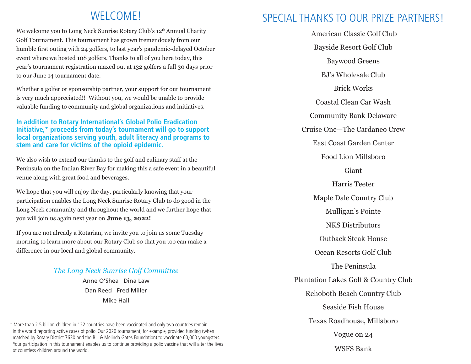#### WELCOME!

We welcome you to Long Neck Sunrise Rotary Club's 12<sup>th</sup> Annual Charity Golf Tournament. This tournament has grown tremendously from our humble first outing with 24 golfers, to last year's pandemic-delayed October event where we hosted 108 golfers. Thanks to all of you here today, this year's tournament registration maxed out at 132 golfers a full 30 days prior to our June 14 tournament date.

Whether a golfer or sponsorship partner, your support for our tournament is very much appreciated!! Without you, we would be unable to provide valuable funding to community and global organizations and initiatives.

#### **In addition to Rotary International's Global Polio Eradication Initiative,\* proceeds from today's tournament will go to support local organizations serving youth, adult literacy and programs to stem and care for victims of the opioid epidemic.**

We also wish to extend our thanks to the golf and culinary staff at the Peninsula on the Indian River Bay for making this a safe event in a beautiful venue along with great food and beverages.

We hope that you will enjoy the day, particularly knowing that your participation enables the Long Neck Sunrise Rotary Club to do good in the Long Neck community and throughout the world and we further hope that you will join us again next year on **June 13, 2022!**

If you are not already a Rotarian, we invite you to join us some Tuesday morning to learn more about our Rotary Club so that you too can make a difference in our local and global community.

#### *The Long Neck Sunrise Golf Committee*

Anne O'Shea Dina Law Dan Reed Fred Miller Mike Hall

\* More than 2.5 billion children in 122 countries have been vaccinated and only two countries remain in the world reporting active cases of polio. Our 2020 tournament, for example, provided funding (when matched by Rotary District 7630 and the Bill & Melinda Gates Foundation) to vaccinate 60,000 youngsters. Your participation in this tournament enables us to continue providing a polio vaccine that will alter the lives of countless children around the world.

#### SPECIAL THANKS TO OUR PRIZE PARTNERS!

 American Classic Golf Club Bayside Resort Golf Club Baywood Greens BJ's Wholesale Club Brick Works Coastal Clean Car Wash Community Bank Delaware Cruise One—The Cardaneo Crew East Coast Garden Center Food Lion Millsboro Giant Harris Teeter Maple Dale Country Club Mulligan's Pointe NKS Distributors Outback Steak House Ocean Resorts Golf Club The Peninsula Plantation Lakes Golf & Country Club Rehoboth Beach Country Club Seaside Fish House Texas Roadhouse, Millsboro Vogue on 24 WSFS Bank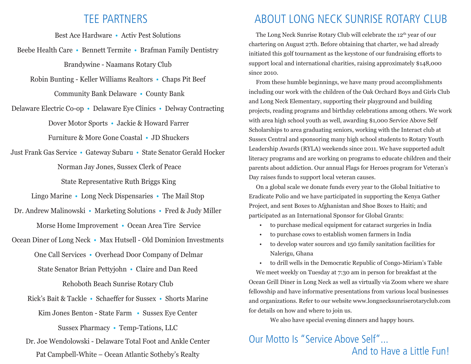#### TEE PARTNERS

Best Ace Hardware • Activ Pest Solutions

Beebe Health Care • Bennett Termite • Brafman Family Dentistry Brandywine - Naamans Rotary Club

Robin Bunting - Keller Williams Realtors • Chaps Pit Beef

Community Bank Delaware • County Bank

Delaware Electric Co-op • Delaware Eye Clinics • Delway Contracting Dover Motor Sports • Jackie & Howard Farrer

Furniture & More Gone Coastal • JD Shuckers

Just Frank Gas Service • Gateway Subaru • State Senator Gerald Hocker Norman Jay Jones, Sussex Clerk of Peace State Representative Ruth Briggs King

Lingo Marine • Long Neck Dispensaries • The Mail Stop

Dr. Andrew Malinowski • Marketing Solutions • Fred & Judy Miller Morse Home Improvement • Ocean Area Tire Service

Ocean Diner of Long Neck • Max Hutsell - Old Dominion Investments One Call Services • Overhead Door Company of Delmar State Senator Brian Pettyjohn • Claire and Dan Reed

Rehoboth Beach Sunrise Rotary Club

Rick's Bait & Tackle • Schaeffer for Sussex • Shorts Marine Kim Jones Benton - State Farm • Sussex Eye Center

Sussex Pharmacy • Temp-Tations, LLC

Dr. Joe Wendolowski - Delaware Total Foot and Ankle Center Pat Campbell-White – Ocean Atlantic Sotheby's Realty

### ABOUT LONG NECK SUNRISE ROTARY CLUB

The Long Neck Sunrise Rotary Club will celebrate the 12<sup>th</sup> year of our chartering on August 27th. Before obtaining that charter, we had already initiated this golf tournament as the keystone of our fundraising efforts to support local and international charities, raising approximately \$148,000 since 2010.

 From these humble beginnings, we have many proud accomplishments including our work with the children of the Oak Orchard Boys and Girls Club and Long Neck Elementary, supporting their playground and building projects, reading programs and birthday celebrations among others. We work with area high school youth as well, awarding \$1,000 Service Above Self Scholarships to area graduating seniors, working with the Interact club at Sussex Central and sponsoring many high school students to Rotary Youth Leadership Awards (RYLA) weekends since 2011. We have supported adult literacy programs and are working on programs to educate children and their parents about addiction. Our annual Flags for Heroes program for Veteran's Day raises funds to support local veteran causes.

 On a global scale we donate funds every year to the Global Initiative to Eradicate Polio and we have participated in supporting the Kenya Gather Project, and sent Boxes to Afghanistan and Shoe Boxes to Haiti; and participated as an International Sponsor for Global Grants:

- to purchase medical equipment for cataract surgeries in India
- to purchase cows to establish women farmers in India
- to develop water sources and 150 family sanitation facilities for Nalerigu, Ghana

• to drill wells in the Democratic Republic of Congo-Miriam's Table We meet weekly on Tuesday at 7:30 am in person for breakfast at the Ocean Grill Diner in Long Neck as well as virtually via Zoom where we share fellowship and have informative presentations from various local businesses and organizations. Refer to our website www.longnecksunriserotaryclub.com for details on how and where to join us.

We also have special evening dinners and happy hours.

#### Our Motto Is "Service Above Self" And to Have a Little Fun!